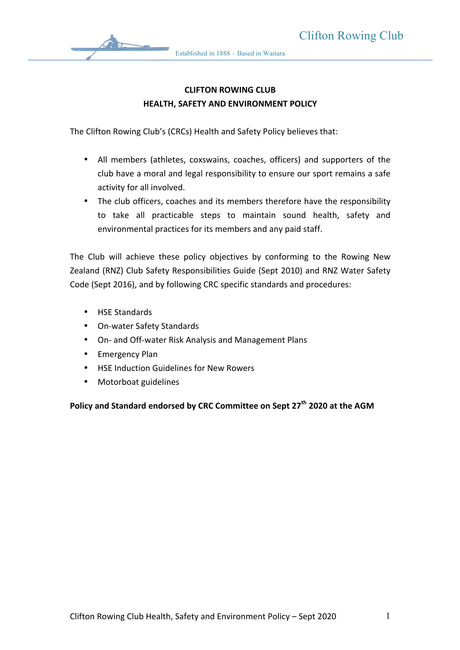

## **CLIFTON ROWING CLUB HEALTH, SAFETY AND ENVIRONMENT POLICY**

The Clifton Rowing Club's (CRCs) Health and Safety Policy believes that:

- All members (athletes, coxswains, coaches, officers) and supporters of the club have a moral and legal responsibility to ensure our sport remains a safe activity for all involved.
- The club officers, coaches and its members therefore have the responsibility to take all practicable steps to maintain sound health, safety and environmental practices for its members and any paid staff.

The Club will achieve these policy objectives by conforming to the Rowing New Zealand (RNZ) Club Safety Responsibilities Guide (Sept 2010) and RNZ Water Safety Code (Sept 2016), and by following CRC specific standards and procedures:

- HSE Standards
- On-water Safety Standards
- On- and Off-water Risk Analysis and Management Plans
- Emergency Plan
- HSE Induction Guidelines for New Rowers
- Motorboat guidelines

**Policy and Standard endorsed by CRC Committee on Sept 27<sup>th</sup> 2020 at the AGM**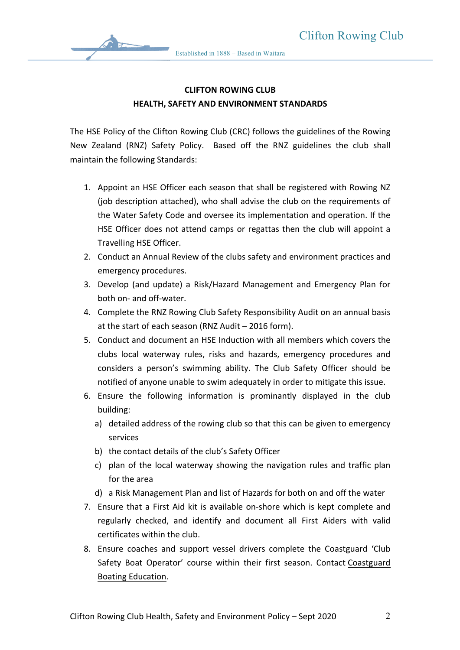

## **CLIFTON ROWING CLUB HEALTH, SAFETY AND ENVIRONMENT STANDARDS**

The HSE Policy of the Clifton Rowing Club (CRC) follows the guidelines of the Rowing New Zealand (RNZ) Safety Policy. Based off the RNZ guidelines the club shall maintain the following Standards:

- 1. Appoint an HSE Officer each season that shall be registered with Rowing NZ (job description attached), who shall advise the club on the requirements of the Water Safety Code and oversee its implementation and operation. If the HSE Officer does not attend camps or regattas then the club will appoint a Travelling HSE Officer.
- 2. Conduct an Annual Review of the clubs safety and environment practices and emergency procedures.
- 3. Develop (and update) a Risk/Hazard Management and Emergency Plan for both on- and off-water.
- 4. Complete the RNZ Rowing Club Safety Responsibility Audit on an annual basis at the start of each season (RNZ Audit  $-$  2016 form).
- 5. Conduct and document an HSE Induction with all members which covers the clubs local waterway rules, risks and hazards, emergency procedures and considers a person's swimming ability. The Club Safety Officer should be notified of anyone unable to swim adequately in order to mitigate this issue.
- 6. Ensure the following information is prominantly displayed in the club building:
	- a) detailed address of the rowing club so that this can be given to emergency services
	- b) the contact details of the club's Safety Officer
	- c) plan of the local waterway showing the navigation rules and traffic plan for the area
	- d) a Risk Management Plan and list of Hazards for both on and off the water
- 7. Ensure that a First Aid kit is available on-shore which is kept complete and regularly checked, and identify and document all First Aiders with valid certificates within the club.
- 8. Ensure coaches and support vessel drivers complete the Coastguard 'Club Safety Boat Operator' course within their first season. Contact Coastguard Boating Education.